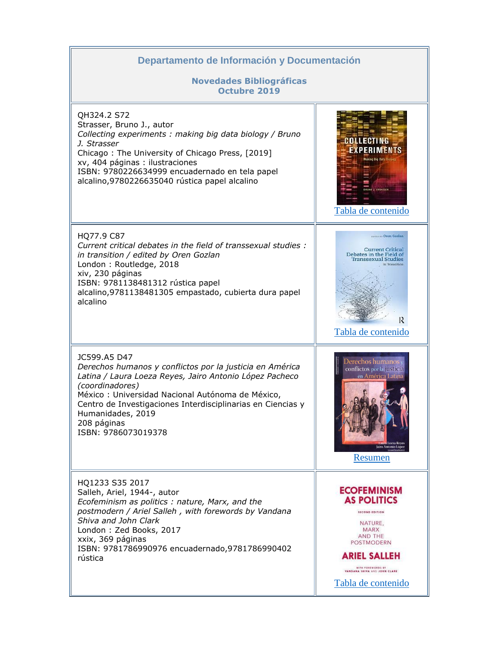| Departamento de Información y Documentación                                                                                                                                                                                                                                                                                          |                                                                                                                                                                                                                        |
|--------------------------------------------------------------------------------------------------------------------------------------------------------------------------------------------------------------------------------------------------------------------------------------------------------------------------------------|------------------------------------------------------------------------------------------------------------------------------------------------------------------------------------------------------------------------|
| <b>Novedades Bibliográficas</b><br><b>Octubre 2019</b>                                                                                                                                                                                                                                                                               |                                                                                                                                                                                                                        |
| QH324.2 S72<br>Strasser, Bruno J., autor<br>Collecting experiments: making big data biology / Bruno<br>J. Strasser<br>Chicago: The University of Chicago Press, [2019]<br>xv, 404 páginas : ilustraciones<br>ISBN: 9780226634999 encuadernado en tela papel<br>alcalino, 9780226635040 rústica papel alcalino                        | AN LECTING<br>EXPERIMENTS<br><b>Asking Bio Data Biolog</b><br><b>RUNO J. STRASSER</b><br>Tabla de contenido                                                                                                            |
| HQ77.9 C87<br>Current critical debates in the field of transsexual studies :<br>in transition / edited by Oren Gozlan<br>London: Routledge, 2018<br>xiv, 230 páginas<br>ISBN: 9781138481312 rústica papel<br>alcalino, 9781138481305 empastado, cubierta dura papel<br>alcalino                                                      | thing ay Oren Gozlan<br><b>Current Critical</b><br>Debates in the Field of<br><b>Transsexual Studies</b><br>In Transition<br>R<br>Tabla de contenido                                                                   |
| JC599.A5 D47<br>Derechos humanos y conflictos por la justicia en América<br>Latina / Laura Loeza Reyes, Jairo Antonio López Pacheco<br>(coordinadores)<br>México: Universidad Nacional Autónoma de México,<br>Centro de Investigaciones Interdisciplinarias en Ciencias y<br>Humanidades, 2019<br>208 páginas<br>ISBN: 9786073019378 | Derechos humanos y<br>conflictos por la justicia<br>en América Latina<br><b>Loeza Reves</b><br>Jairo Antonio López<br>Resumen                                                                                          |
| HQ1233 S35 2017<br>Salleh, Ariel, 1944-, autor<br>Ecofeminism as politics: nature, Marx, and the<br>postmodern / Ariel Salleh, with forewords by Vandana<br>Shiva and John Clark<br>London: Zed Books, 2017<br>xxix, 369 páginas<br>ISBN: 9781786990976 encuadernado, 9781786990402<br>rústica                                       | <b>ECOFEMINISM</b><br><b>AS POLITICS</b><br><b>SECOND EDITION</b><br>NATURE,<br><b>MARX</b><br>AND THE<br>POSTMODERN<br><b>ARIEL SALLEH</b><br>WITH FOREWORDS BY<br>VANDANA SHIVA AND JOHN CLARE<br>Tabla de contenido |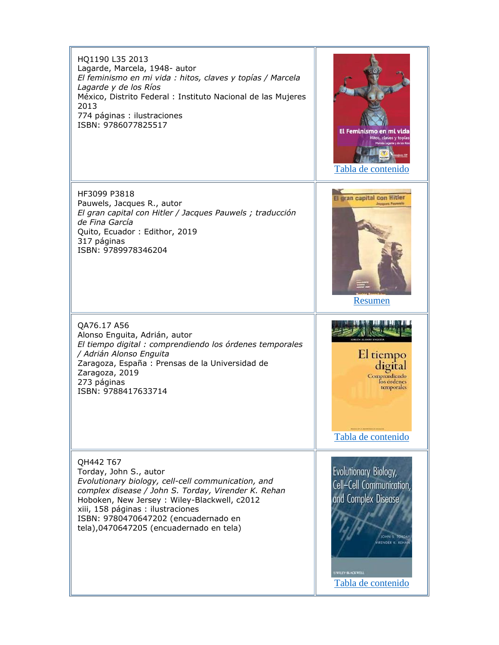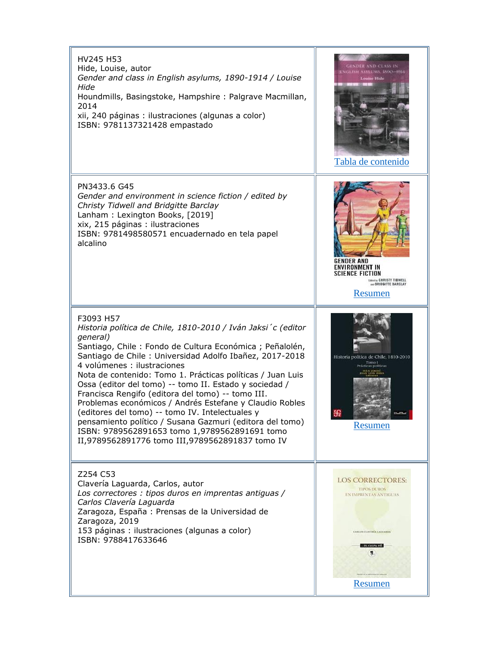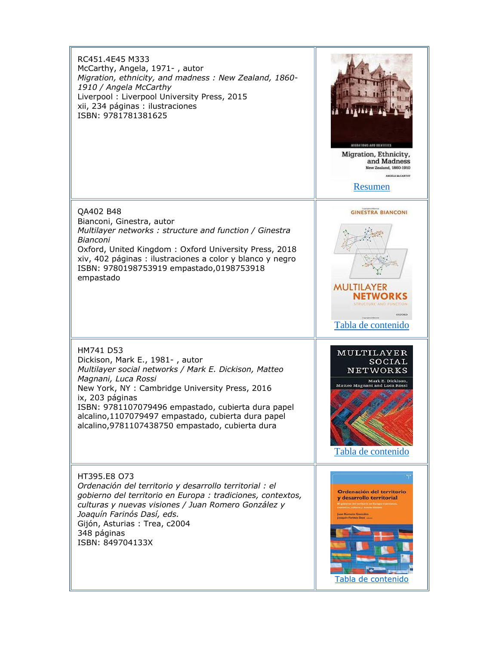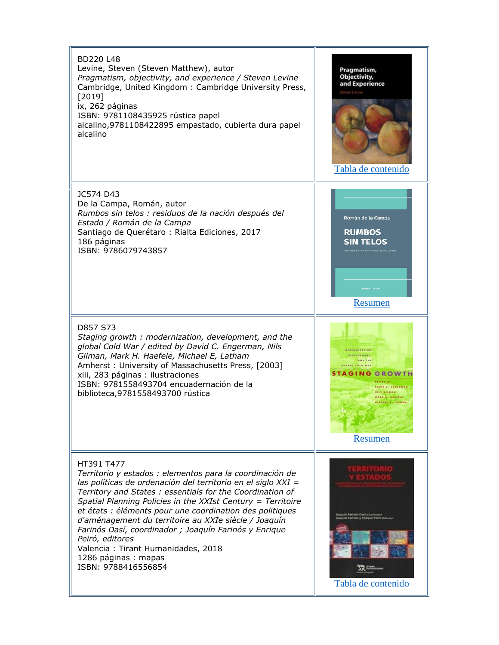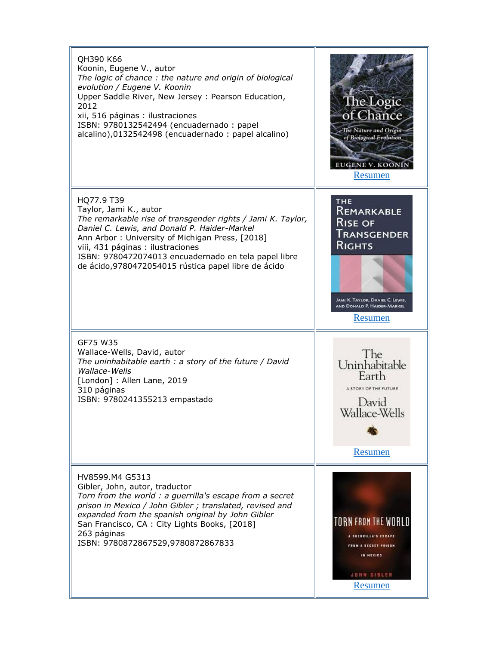